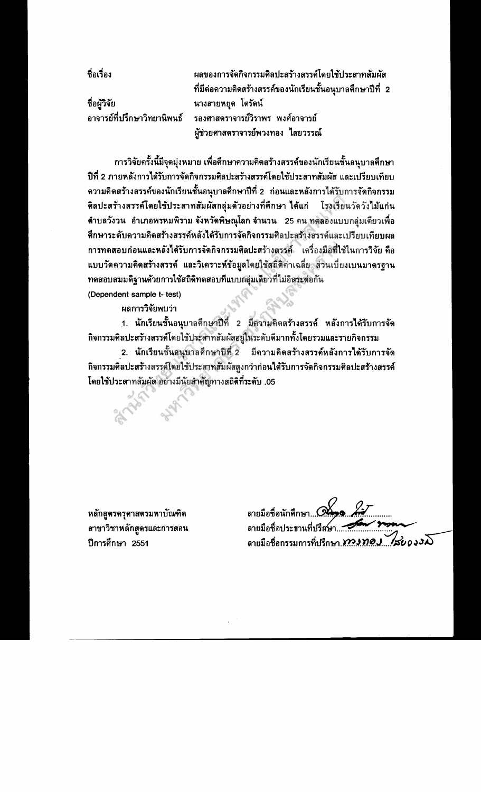ที่อเรื่อง

ชื่อผู้วิจัย อาจารย์ที่ปรึกษาวิทยานิพนธ์

ผลของการจัดกิจกรรมติลปะสร้างสรรค์โดยใช้ประสาทสัมผัส ที่มีด่อความคิดสร้างสรรค์ของนักเรียนชั้นอนุบาลศึกษาปีที่ 2 นางสายหยุด โตรัดน์ รองศาสตราจารย์วิราพร พงศ์อาจารย์ ผู้ช่วยศาสตราจารย์พวงทอง ไสยวรรณ์

การวิจัยครั้งนี้มีจุดมุ่งหมาย เพื่อศึกษาความคิดสร้างสรรค์ของนักเรียนชั้นอนุบาลศึกษา ปีที่ 2 ภายหลังการได้รับการจัดกิจกรรมศิลปะสร้างสรรค์โดยใช้ประสาทสัมผัส และเปรียบเทียบ ี ความคิดสร้างสรรค์ของนักเรียนชั้นอนุบาลศึกษาปีที่ 2 ก่อนและหลังการได้รับการจัดกิจกรรม ศิลปะสร้างสรรค์โดยใช้ประสาทสัมผัสกลุ่มด้วอย่างที่ศึกษา ได้แก่ โรงเรียนวัดวังไม้แก่น ี ตำบลวังวน อำเภอพรหมพิราม จังหวัดพิษณุโลก จำนวน 25 คน ทดลองแบบกลุ่มเดียวเพื่อ ทึกษาระดับความคิดสร้างสรรค์หลังได้รับการจัดกิจกรรมติลปะสร้างสรรค์และเปรียบเทียบผล การทดสอบก่อนและหลังได้รับการจัดกิจกรรมศิลปะสร้างสรรค์ เครื่องมือที่ใช้ในการวิจัย คือ แบบวัดความคิดสร้างสรรค์ และวิเคราะห์ข้อมูลโดยใช้สถิติค่าเฉลี่ย ส่วนเบี่ยงเบนมาดรฐาน ทดสอบสมมดิฐานด้วยการใช้สถิติทดสอบที่แบบกลุ่มเดียวที่ไม่อิสระด่อกัน

(Dependent sample t- test)

ผลการวิจัยพบว่า

1. นักเรียนชั้นอนุบาลศึกษาปีที่ 2 มีความคิดสร้างสรรค์ หลังการได้รับการจัด กิจกรรมศิลปะสร้างสรรค์โดยใช้ประสาทสัมผัสอยู่ในระดับดีมากทั้งโดยรวมและรายกิจกรรม

2. นักเรียนชั้นอนุบาลศึกษาปีที่ 2 มีความคิดสร้างสรรค์หลังการได้รับการจัด กิจกรรมศิลปะสร้างสรรค์โดยใช้ประสาทสัมผัสสูงกว่าก่อนได้รับการจัดกิจกรรมศิลปะสร้างสรรค์ โดยใช้ประสาทสัมผัส อย่างมีนัยสำคัญทางสถิติที่ระดับ .05

หลักสูตรครุศาสตรมหาบัณฑิต สาขาวิชาหลักสูตรและการสอน ปีการศึกษา 2551

ลายมือชื่อนักศึกษา... Q ลายมือชื่อประธานที่ปรึส ลายมือชื่อกรรมการที่ปรึกษา *ทางทอง ส่ว*0000